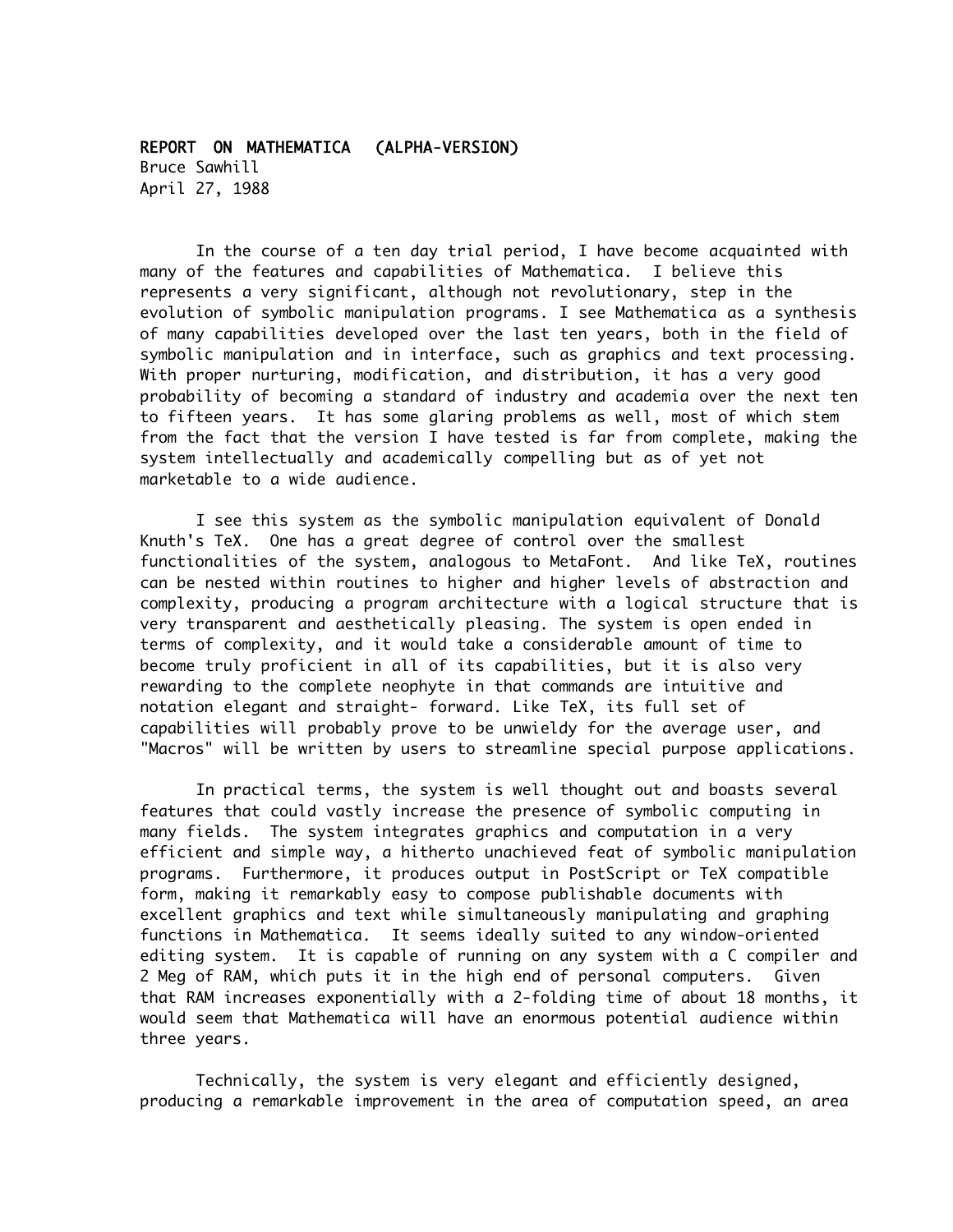## REPORT ON MATHEMATICA (ALPHA-VERSION) Bruce Sawhill April 27, 1988

In the course of a ten day trial period, I have become acquainted with many of the features and capabilities of Mathematica. I believe this represents a very significant, although not revolutionary, step in the evolution of symbolic manipulation programs. I see Mathematica as a synthesis of many capabilities developed over the last ten years, both in the field of symbolic manipulation and in interface, such as graphics and text processing. With proper nurturing, modification, and distribution, it has a very good probability of becoming a standard of industry and academia over the next ten to fifteen years. It has some glaring problems as well, most of which stem from the fact that the version I have tested is far from complete, making the system intellectually and academically compelling but as of yet not marketable to a wide audience.

I see this system as the symbolic manipulation equivalent of Donald Knuth's TeX. One has a great degree of control over the smallest functionalities of the system, analogous to MetaFont. And like TeX, routines can be nested within routines to higher and higher levels of abstraction and complexity, producing a program architecture with a logical structure that is very transparent and aesthetically pleasing. The system is open ended in terms of complexity, and it would take a considerable amount of time to become truly proficient in all of its capabilities, but it is also very rewarding to the complete neophyte in that commands are intuitive and notation elegant and straight- forward. Like TeX, its full set of capabilities will probably prove to be unwieldy for the average user, and "Macros" will be written by users to streamline special purpose applications.

In practical terms, the system is well thought out and boasts several features that could vastly increase the presence of symbolic computing in many fields. The system integrates graphics and computation in a very efficient and simple way, a hitherto unachieved feat of symbolic manipulation programs. Furthermore, it produces output in PostScript or TeX compatible form, making it remarkably easy to compose publishable documents with excellent graphics and text while simultaneously manipulating and graphing functions in Mathematica. It seems ideally suited to any window-oriented editing system. It is capable of running on any system with a C compiler and 2 Meg of RAM, which puts it in the high end of personal computers. Given that RAM increases exponentially with a 2-folding time of about 18 months, it would seem that Mathematica will have an enormous potential audience within three years.

Technically, the system is very elegant and efficiently designed, producing a remarkable improvement in the area of computation speed, an area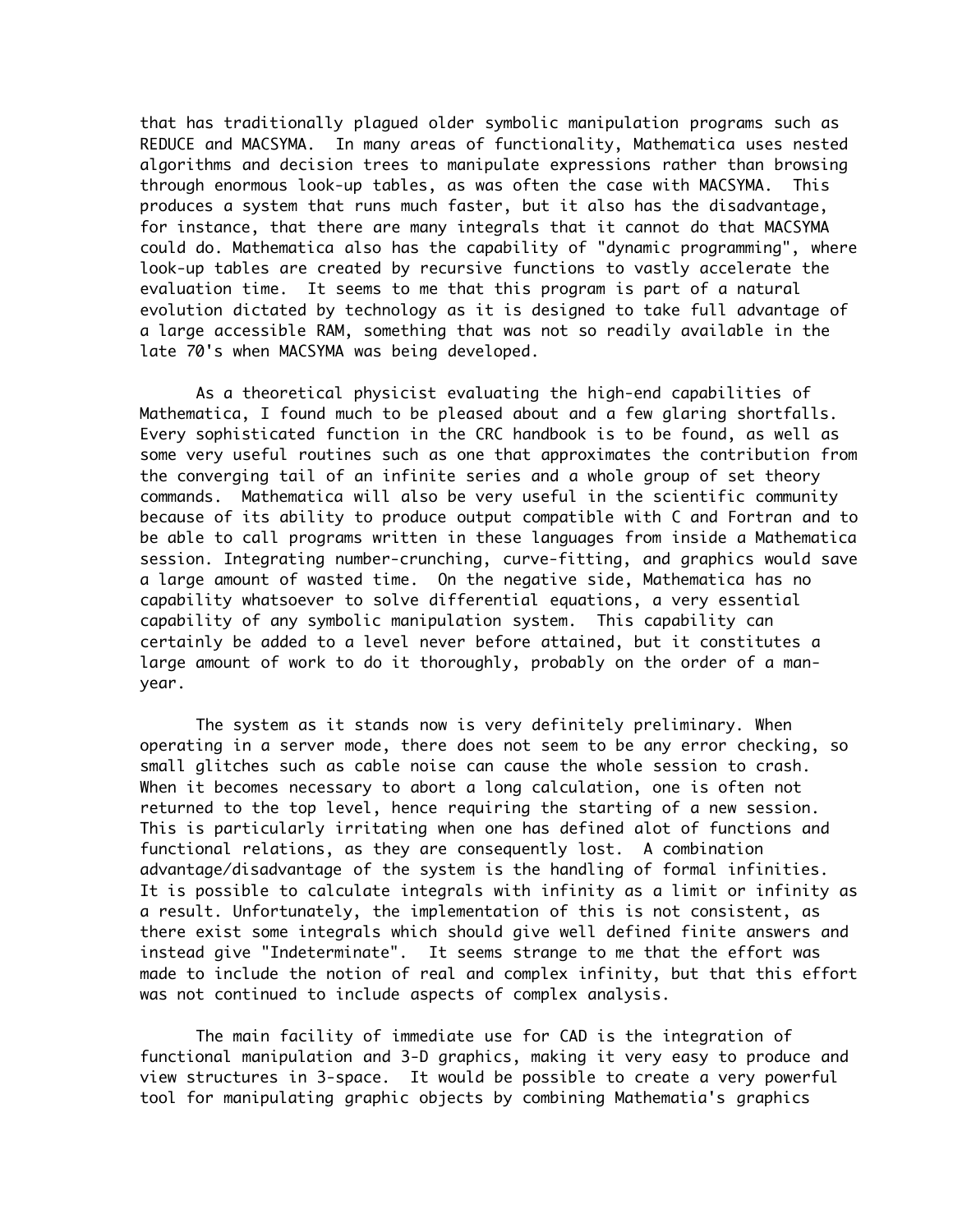that has traditionally plagued older symbolic manipulation programs such as REDUCE and MACSYMA. In many areas of functionality, Mathematica uses nested algorithms and decision trees to manipulate expressions rather than browsing through enormous look-up tables, as was often the case with MACSYMA. This produces a system that runs much faster, but it also has the disadvantage, for instance, that there are many integrals that it cannot do that MACSYMA could do. Mathematica also has the capability of "dynamic programming", where look-up tables are created by recursive functions to vastly accelerate the evaluation time. It seems to me that this program is part of a natural evolution dictated by technology as it is designed to take full advantage of a large accessible RAM, something that was not so readily available in the late 70's when MACSYMA was being developed.

As a theoretical physicist evaluating the high-end capabilities of Mathematica, I found much to be pleased about and a few glaring shortfalls. Every sophisticated function in the CRC handbook is to be found, as well as some very useful routines such as one that approximates the contribution from the converging tail of an infinite series and a whole group of set theory commands. Mathematica will also be very useful in the scientific community because of its ability to produce output compatible with C and Fortran and to be able to call programs written in these languages from inside a Mathematica session. Integrating number-crunching, curve-fitting, and graphics would save a large amount of wasted time. On the negative side, Mathematica has no capability whatsoever to solve differential equations, a very essential capability of any symbolic manipulation system. This capability can certainly be added to a level never before attained, but it constitutes a large amount of work to do it thoroughly, probably on the order of a manyear.

The system as it stands now is very definitely preliminary. When operating in a server mode, there does not seem to be any error checking, so small glitches such as cable noise can cause the whole session to crash. When it becomes necessary to abort a long calculation, one is often not returned to the top level, hence requiring the starting of a new session. This is particularly irritating when one has defined alot of functions and functional relations, as they are consequently lost. A combination advantage/disadvantage of the system is the handling of formal infinities. It is possible to calculate integrals with infinity as a limit or infinity as a result. Unfortunately, the implementation of this is not consistent, as there exist some integrals which should give well defined finite answers and instead give "Indeterminate". It seems strange to me that the effort was made to include the notion of real and complex infinity, but that this effort was not continued to include aspects of complex analysis.

The main facility of immediate use for CAD is the integration of functional manipulation and 3-D graphics, making it very easy to produce and view structures in 3-space. It would be possible to create a very powerful tool for manipulating graphic objects by combining Mathematia's graphics